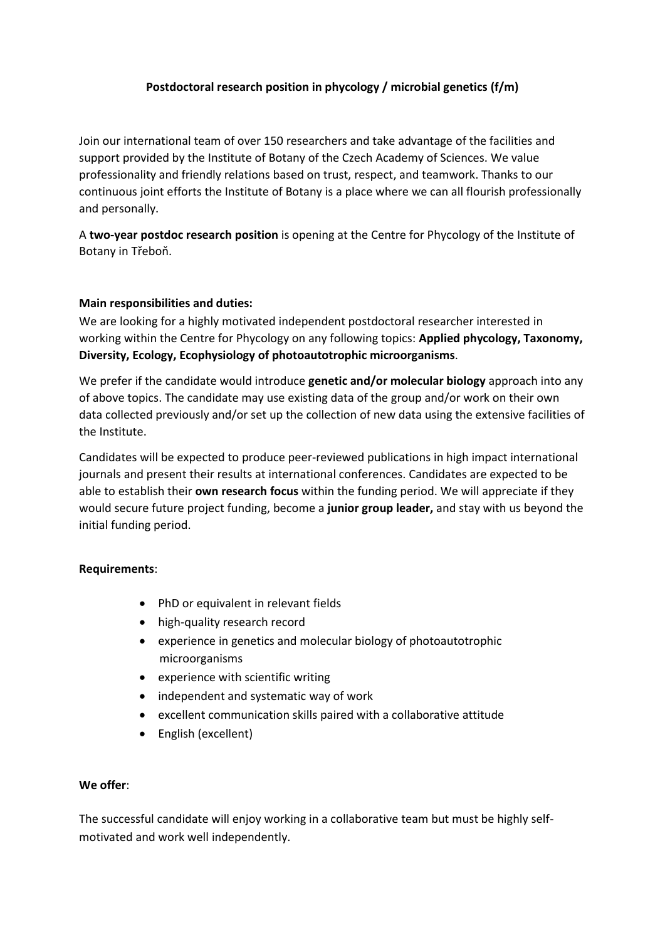# **Postdoctoral research position in phycology / microbial genetics (f/m)**

Join our international team of over 150 researchers and take advantage of the facilities and support provided by the Institute of Botany of the Czech Academy of Sciences. We value professionality and friendly relations based on trust, respect, and teamwork. Thanks to our continuous joint efforts the Institute of Botany is a place where we can all flourish professionally and personally.

A **two-year postdoc research position** is opening at the Centre for Phycology of the Institute of Botany in Třeboň.

# **Main responsibilities and duties:**

We are looking for a highly motivated independent postdoctoral researcher interested in working within the Centre for Phycology on any following topics: **Applied phycology, Taxonomy, Diversity, Ecology, Ecophysiology of photoautotrophic microorganisms**.

We prefer if the candidate would introduce **genetic and/or molecular biology** approach into any of above topics. The candidate may use existing data of the group and/or work on their own data collected previously and/or set up the collection of new data using the extensive facilities of the Institute.

Candidates will be expected to produce peer-reviewed publications in high impact international journals and present their results at international conferences. Candidates are expected to be able to establish their **own research focus** within the funding period. We will appreciate if they would secure future project funding, become a **junior group leader,** and stay with us beyond the initial funding period.

#### **Requirements**:

- PhD or equivalent in relevant fields
- high-quality research record
- experience in genetics and molecular biology of photoautotrophic microorganisms
- experience with scientific writing
- independent and systematic way of work
- excellent communication skills paired with a collaborative attitude
- English (excellent)

#### **We offer**:

The successful candidate will enjoy working in a collaborative team but must be highly selfmotivated and work well independently.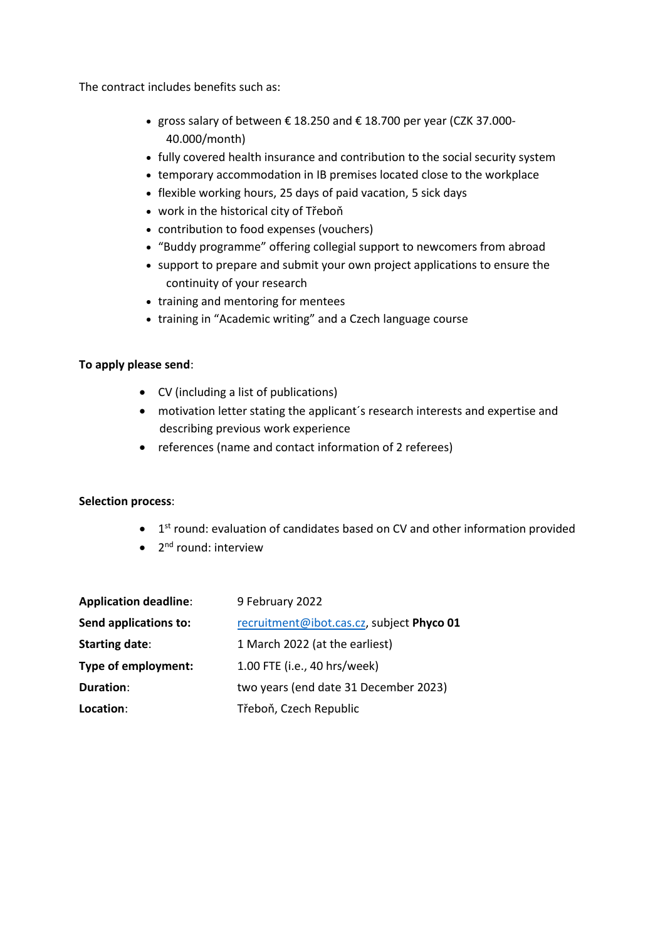The contract includes benefits such as:

- gross salary of between € 18.250 and € 18.700 per year (CZK 37.000- 40.000/month)
- fully covered health insurance and contribution to the social security system
- temporary accommodation in IB premises located close to the workplace
- flexible working hours, 25 days of paid vacation, 5 sick days
- work in the historical city of Třeboň
- contribution to food expenses (vouchers)
- "Buddy programme" offering collegial support to newcomers from abroad
- support to prepare and submit your own project applications to ensure the continuity of your research
- training and mentoring for mentees
- training in "Academic writing" and a Czech language course

# **To apply please send**:

- CV (including a list of publications)
- motivation letter stating the applicant´s research interests and expertise and describing previous work experience
- references (name and contact information of 2 referees)

# **Selection process**:

- $\bullet$  1<sup>st</sup> round: evaluation of candidates based on CV and other information provided
- 2<sup>nd</sup> round: interview

| <b>Application deadline:</b> | 9 February 2022                           |
|------------------------------|-------------------------------------------|
| Send applications to:        | recruitment@ibot.cas.cz, subject Phyco 01 |
| <b>Starting date:</b>        | 1 March 2022 (at the earliest)            |
| Type of employment:          | 1.00 FTE (i.e., 40 hrs/week)              |
| Duration:                    | two years (end date 31 December 2023)     |
| Location:                    | Třeboň, Czech Republic                    |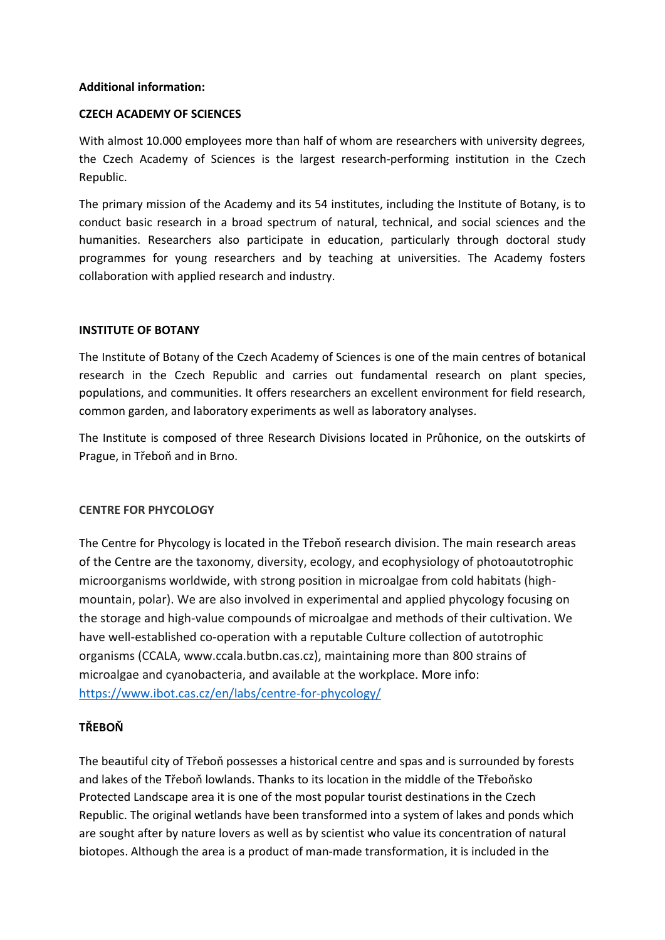# **Additional information:**

#### **CZECH ACADEMY OF SCIENCES**

With almost 10.000 employees more than half of whom are researchers with university degrees, the Czech Academy of Sciences is the largest research-performing institution in the Czech Republic.

The primary mission of the Academy and its 54 institutes, including the Institute of Botany, is to conduct basic research in a broad spectrum of natural, technical, and social sciences and the humanities. Researchers also participate in education, particularly through doctoral study programmes for young researchers and by teaching at universities. The Academy fosters collaboration with applied research and industry.

#### **INSTITUTE OF BOTANY**

The Institute of Botany of the Czech Academy of Sciences is one of the main centres of botanical research in the Czech Republic and carries out fundamental research on plant species, populations, and communities. It offers researchers an excellent environment for field research, common garden, and laboratory experiments as well as laboratory analyses.

The Institute is composed of three Research Divisions located in Průhonice, on the outskirts of Prague, in Třeboň and in Brno.

# **CENTRE FOR PHYCOLOGY**

The Centre for Phycology is located in the Třeboň research division. The main research areas of the Centre are the taxonomy, diversity, ecology, and ecophysiology of photoautotrophic microorganisms worldwide, with strong position in microalgae from cold habitats (highmountain, polar). We are also involved in experimental and applied phycology focusing on the storage and high-value compounds of microalgae and methods of their cultivation. We have well-established co-operation with a reputable Culture collection of autotrophic organisms (CCALA, www.ccala.butbn.cas.cz), maintaining more than 800 strains of microalgae and cyanobacteria, and available at the workplace. More info: <https://www.ibot.cas.cz/en/labs/centre-for-phycology/>

# **TŘEBOŇ**

The beautiful city of Třeboň possesses a historical centre and spas and is surrounded by forests and lakes of the Třeboň lowlands. Thanks to its location in the middle of the Třeboňsko Protected Landscape area it is one of the most popular tourist destinations in the Czech Republic. The original wetlands have been transformed into a system of lakes and ponds which are sought after by nature lovers as well as by scientist who value its concentration of natural biotopes. Although the area is a product of man-made transformation, it is included in the